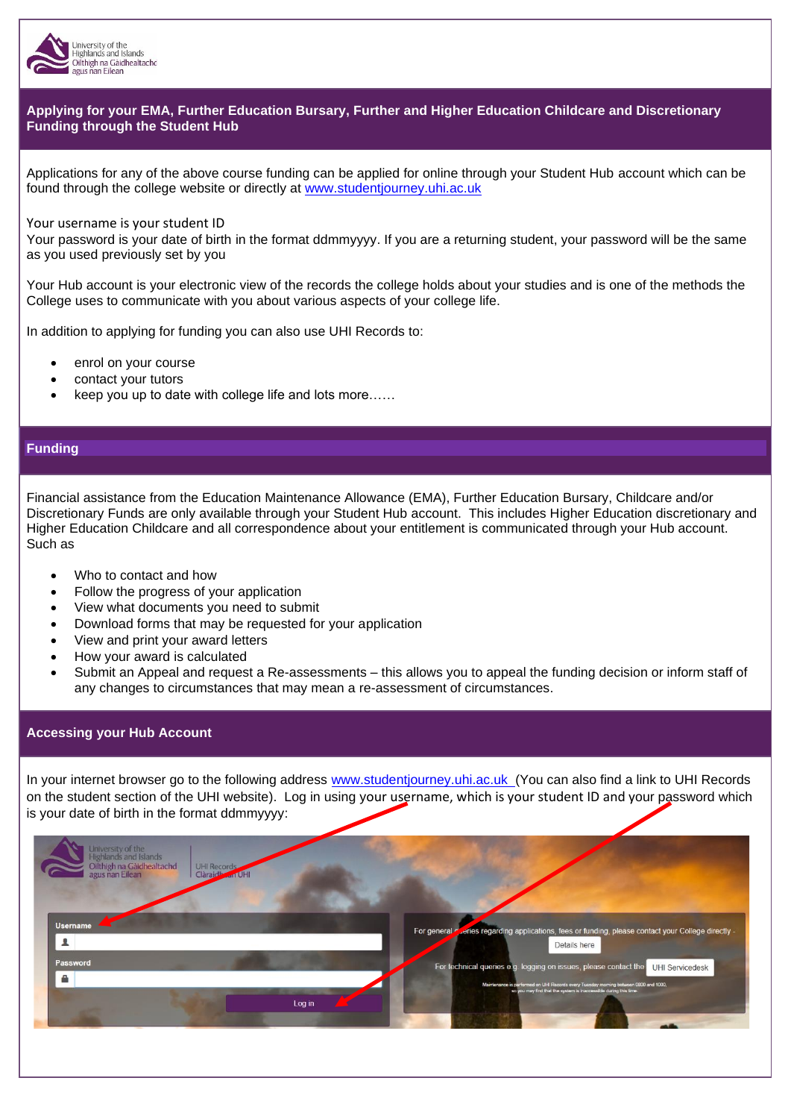

# **Applying for your EMA, Further Education Bursary, Further and Higher Education Childcare and Discretionary Funding through the Student Hub**

Applications for any of the above course funding can be applied for online through your Student Hub account which can be found through the college website or directly at [www.studentjourney.uhi.ac.uk](http://www.studentjourney.uhi.ac.uk/)

#### Your username is your student ID

Your password is your date of birth in the format ddmmyyyy. If you are a returning student, your password will be the same as you used previously set by you

Your Hub account is your electronic view of the records the college holds about your studies and is one of the methods the College uses to communicate with you about various aspects of your college life.

In addition to applying for funding you can also use UHI Records to:

- enrol on your course
- contact your tutors
- keep you up to date with college life and lots more……

## **Funding**

Financial assistance from the Education Maintenance Allowance (EMA), Further Education Bursary, Childcare and/or Discretionary Funds are only available through your Student Hub account. This includes Higher Education discretionary and Higher Education Childcare and all correspondence about your entitlement is communicated through your Hub account. Such as

- Who to contact and how
- Follow the progress of your application
- View what documents you need to submit
- Download forms that may be requested for your application
- View and print your award letters
- How your award is calculated
- Submit an Appeal and request a Re-assessments this allows you to appeal the funding decision or inform staff of any changes to circumstances that may mean a re-assessment of circumstances.

#### **Accessing your Hub Account**

In your internet browser go to the following address [www.studentjourney.uhi.ac.uk](http://www.studentjourney.uhi.ac.uk/)(You can also find a link to UHI Records on the student section of the UHI website). Log in using your username, which is your student ID and your password which is your date of birth in the format ddmmyyyy:

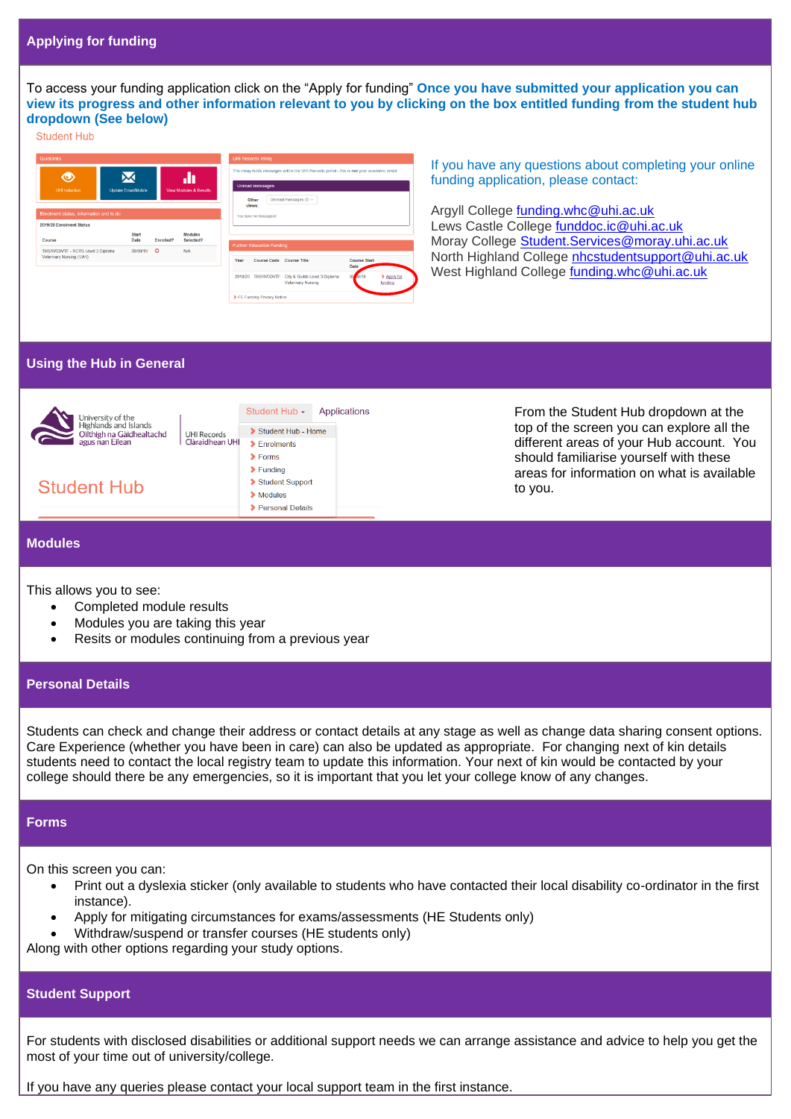To access your funding application click on the "Apply for funding" **Once you have submitted your application you can view its progress and other information relevant to you by clicking on the box entitled funding from the student hub dropdown (See below)**

#### **Student Hub**

| Quicklinks                                                          |                            |           |                                   |                                                                                                                                                                | <b>UHI Records Intray</b>                                    |                                                                               |                      |                        |
|---------------------------------------------------------------------|----------------------------|-----------|-----------------------------------|----------------------------------------------------------------------------------------------------------------------------------------------------------------|--------------------------------------------------------------|-------------------------------------------------------------------------------|----------------------|------------------------|
| ◉<br>UHI Induction                                                  | <b>Update Email/Mobile</b> |           | <b>View Modules &amp; Results</b> | The intrav holds messages within the UHI Records portal - this is not your academic email.<br>Unread messages<br>Unread messages ( $0 \sim$<br>Other<br>views: |                                                              |                                                                               |                      |                        |
| Enrolment status, information and to do<br>2019/20 Enrolment Status |                            |           |                                   |                                                                                                                                                                | You have no messages!                                        |                                                                               |                      |                        |
| Course                                                              | <b>Start</b><br>Date       | Enrolled? | Modules<br>Selected?              |                                                                                                                                                                |                                                              |                                                                               |                      |                        |
| THBRV0DVTF - RCVS Level 3 Diploma<br>Veterinary Nursing (1/A1)      | 09/09/19                   | $\circ$   | N/A                               | Year                                                                                                                                                           | <b>Further Education Funding</b><br>Course Code Course Title |                                                                               | Course Start<br>Date |                        |
|                                                                     |                            |           |                                   |                                                                                                                                                                |                                                              | 2019/20 THBRVODVTF City & Guilds Level 3 Diploma<br><b>Veterinary Nursing</b> | 09<br><b>AN19</b>    | > Apply for<br>funding |
|                                                                     |                            |           |                                   |                                                                                                                                                                | > FE Funding Privacy Notice                                  |                                                                               |                      |                        |

If you have any questions about completing your online funding application, please contact:

Argyll College [funding.whc@uhi.ac.uk](mailto:funding.whc@uhi.ac.uk) Lews Castle College [funddoc.ic@uhi.ac.uk](mailto:funddoc.ic@uhi.ac.uk) Moray College [Student.Services@moray.uhi.ac.uk](mailto:Student.Services@moray.uhi.ac.uk) North Highland College [nhcstudentsupport@uhi.ac.uk](mailto:nhcstudentsupport@uhi.ac.uk) West Highland College [funding.whc@uhi.ac.uk](mailto:funding.whc@uhi.ac.uk)

## **Using the Hub in General**



# **Modules**

This allows you to see:

- Completed module results
- Modules you are taking this year
- Resits or modules continuing from a previous year

### **Personal Details**

Students can check and change their address or contact details at any stage as well as change data sharing consent options. Care Experience (whether you have been in care) can also be updated as appropriate. For changing next of kin details students need to contact the local registry team to update this information. Your next of kin would be contacted by your college should there be any emergencies, so it is important that you let your college know of any changes.

#### **Forms**

On this screen you can:

- Print out a dyslexia sticker (only available to students who have contacted their local disability co-ordinator in the first instance).
- Apply for mitigating circumstances for exams/assessments (HE Students only)
- Withdraw/suspend or transfer courses (HE students only)

Along with other options regarding your study options.

## **Student Support**

For students with disclosed disabilities or additional support needs we can arrange assistance and advice to help you get the most of your time out of university/college.

If you have any queries please contact your local support team in the first instance.